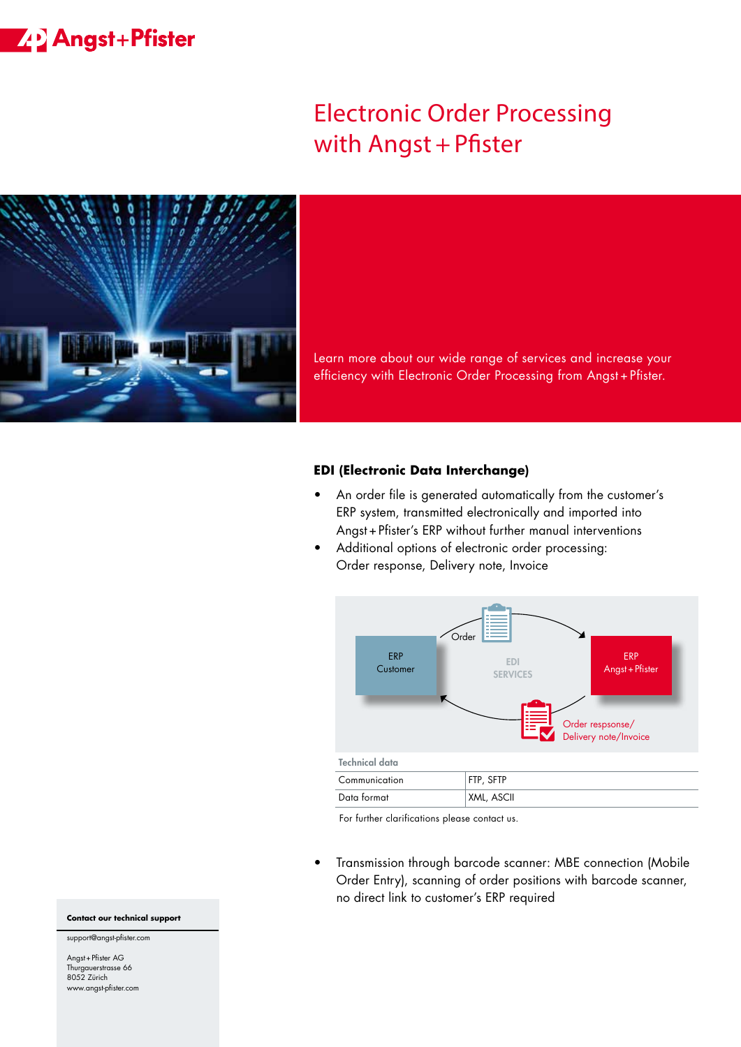## **ZP** Angst+Pfister

# Electronic Order Processing with Angst + Pfister



Learn more about our wide range of services and increase your efficiency with Electronic Order Processing from Angst + Pfister.

#### **EDI (Electronic Data Interchange)**

- An order file is generated automatically from the customer's ERP system, transmitted electronically and imported into Angst+Pfister's ERP without further manual interventions
- Additional options of electronic order processing: Order response, Delivery note, Invoice



For further clarifications please contact us.

• Transmission through barcode scanner: MBE connection (Mobile Order Entry), scanning of order positions with barcode scanner, no direct link to customer's ERP required

#### **Contact our technical support**

support@angst-pfister.com

Angst+Pfister AG Thurgauerstrasse 66 8052 Zürich www.angst-pfister.com